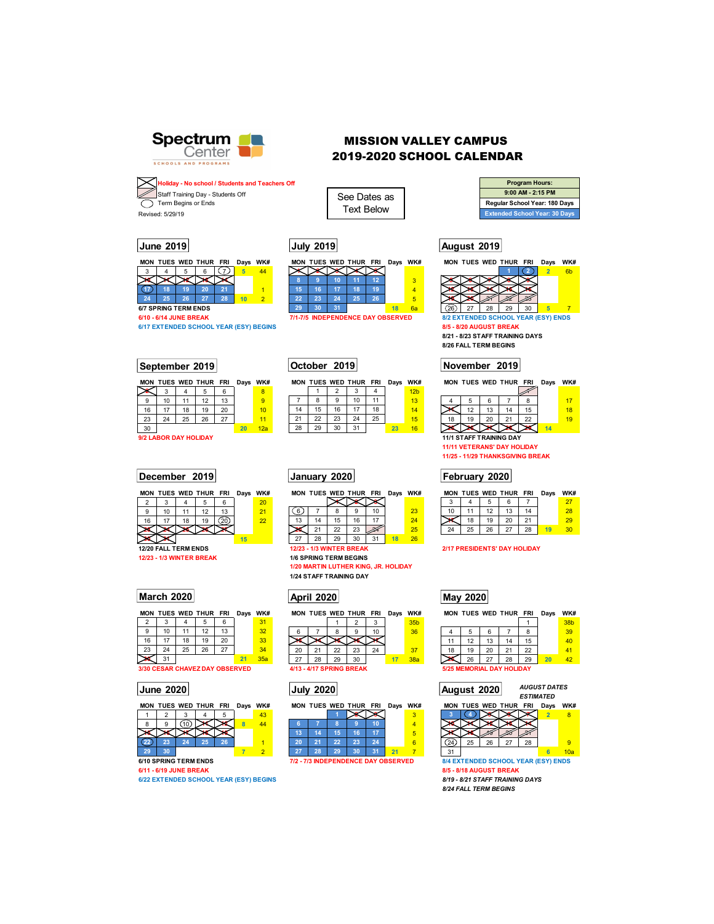

## MISSION VALLEY CAMPUS 2019-2020 SCHOOL CALENDAR

See Dates as Text Below

| <b>Program Hours:</b>                |
|--------------------------------------|
| 9:00 AM - 2:15 PM                    |
| Regular School Year: 180 Days        |
| <b>Extended School Year: 30 Days</b> |

## **June 2019 July 2019 August 2019**



**6/10 - 6/14 JUNE BREAK 6/10 EXECUTE:** 7/1-7/5 INDEPENDENCE DAY OBSERVED 8/2 EXTENDED SCHOOL YEAR (ESY) ENDS **6/17 EXTENDED SCHOOL YEAR (ESY)** ENDS

**8/21 - 8/23 STAFF TRAINING DAYS 8/26 FALL TERM BEGINS** 

|    | MON TUES WED THUR FRI   |    |    |    | Days | wĸ# |  |
|----|-------------------------|----|----|----|------|-----|--|
|    |                         |    |    |    |      |     |  |
|    | 5                       |    |    |    |      | 17  |  |
|    | 12                      | 13 | 14 | 15 |      | 18  |  |
| 18 | 19                      | 20 | 21 | 22 |      | 19  |  |
|    |                         |    |    |    | 14   |     |  |
|    | 11/1 STAFF TRAINING DAY |    |    |    |      |     |  |

**11/11 VETERANS' DAY HOLIDAY 11/25 - 11/29 THANKSGIVING BREAK** 

|    |    |    | MON TUES WED THUR FRI |    | Days | WK# |  |
|----|----|----|-----------------------|----|------|-----|--|
| ٩  |    |    |                       |    |      |     |  |
| 10 | 11 | 12 | 13                    |    |      | 28  |  |
|    | 18 | 19 | 20                    |    |      | 29  |  |
| 24 | 25 | 26 | 27                    | 28 |      |     |  |

|    |    |    | <b>MON TUES WED THUR FRI</b>            |    | Days | WK# |  |
|----|----|----|-----------------------------------------|----|------|-----|--|
|    |    |    |                                         |    |      | 38b |  |
|    |    | 6  |                                         | 8  |      | 39  |  |
| 11 | 12 | 13 | 14                                      | 15 |      | 40  |  |
| 18 | 19 | 20 | 21                                      | 22 |      | 41  |  |
|    | 26 | 27 | 28                                      | 29 | 20   | 42  |  |
|    |    |    | <b><i>EIOE MEMODIAL DAV HOLIDAV</i></b> |    |      |     |  |

# **June 2020 July 2020** *AUGUST DATES ESTIMATED* **August 2020**



**6/10 SPRING TERM ENDS 7/2 - 7/3 INDEPENDENCE DAY OBSERVED 8/4 EXTENDED SCHOOL YEAR (ESY) ENDS**<br>**6/11 - 6/19 JUNE BREAK 8/5 - 8/18 AUGUST BREAK 6/11 - 6/19 JUNE BREAK 8/5 - 8/18 AUGUST BREAK** 

*8/24 FALL TERM BEGINS* 

**4 Holiday - No school / Students and Teachers Off**  Staff Training Day - Students Off Term Begins or Ends Revised: 5/29/19



**6/17 EXTENDED SCHOOL YEAR (ESY) BEGINS** 

## **September 2019 October 2019 November 2019**

|    |                       |    | MON TUES WED THUR FRI |    |    | Days WK# |    |    |    | MON TUES WED THUR FRI |    | Days | WK#             |
|----|-----------------------|----|-----------------------|----|----|----------|----|----|----|-----------------------|----|------|-----------------|
|    | 3                     |    | 5                     | 6  |    | 8        |    |    |    |                       |    |      | 12 <sub>b</sub> |
| 9  | 10                    |    | 12                    | 13 |    | 9        |    | 8  | 9  | 10                    |    |      | 13              |
| 16 | 17                    | 18 | 19                    | 20 |    | 10       | 14 | 15 | 16 | 17                    | 18 |      | 14              |
| 23 | 24                    | 25 | 26                    | 27 |    |          | 21 | 22 | 23 | 24                    | 25 |      | 15              |
| 30 |                       |    |                       |    | 20 | 12a      | 28 | 29 | 30 | 31                    |    | 23   | 16              |
|    | 9/2 LABOR DAY HOLIDAY |    |                       |    |    |          |    |    |    |                       |    |      |                 |

## **December 2019 January 2020 February 2020**

|    | MON TUES WED THUR FRI |    |    |    | Days | WK# |
|----|-----------------------|----|----|----|------|-----|
| 2  |                       |    |    |    |      | 20  |
| 9  | 10                    | 11 | 12 | 13 |      | 21  |
| 16 | 17                    | 18 | 19 |    |      | 22  |
|    |                       |    |    |    |      |     |
|    |                       |    |    |    | 15   |     |
|    | 12/20 FALL TERM ENDS  |    |    |    |      |     |

**12/23 - 1/3 WINTER BREAK** 

|    |    |    | <b>MON TUES WED THUR FRI</b> |    | Days | WK# |
|----|----|----|------------------------------|----|------|-----|
| 2  | 3  |    | 5                            | 6  |      | 31  |
| 9  | 10 | 11 | 12                           | 13 |      | 32  |
| 16 | 17 | 18 | 19                           | 20 |      | 33  |
| 23 | 24 | 25 | 26                           | 27 |      | 34  |
|    | 31 |    |                              |    | 21   | 35a |

**3/30 CESAR CHAVEZ DAY OBSERVED** 

|  | MON TUES WED THUR FRI Days WK# |  |  | MON TUES WED THUR FRI |  |  | Days WK# |        |    |    | MON TUES WED THUR FRI |    | Days | WK# |
|--|--------------------------------|--|--|-----------------------|--|--|----------|--------|----|----|-----------------------|----|------|-----|
|  |                                |  |  |                       |  |  |          |        |    |    |                       |    |      |     |
|  |                                |  |  |                       |  |  |          |        |    |    |                       |    |      |     |
|  |                                |  |  |                       |  |  |          |        |    |    |                       |    |      |     |
|  |                                |  |  |                       |  |  |          |        | 25 | 26 |                       | 28 |      |     |
|  |                                |  |  |                       |  |  |          | $\sim$ |    |    |                       |    |      | 10a |

**6/22 EXTENDED SCHOOL YEAR (ESY) BEGINS** 

**October 2019** 

| IK#     |    |    |    | MON TUES WED THUR FRI |    | Days WK# |    |    |    | MON TUES WED THUR FRI |    | Days | <b>WK</b> |
|---------|----|----|----|-----------------------|----|----------|----|----|----|-----------------------|----|------|-----------|
| $20 \,$ |    |    |    |                       |    |          |    |    |    |                       |    |      | 27        |
|         |    |    |    |                       |    | 23       | 10 |    |    |                       | 14 |      | 28        |
|         | 13 | 14 | 15 | 16                    |    | 24       |    | 18 | 19 | 20                    | 21 |      | 29        |
|         |    |    | 22 | 23                    |    | 25       | 24 | 25 | 26 | 27                    | 28 |      | 30        |
|         |    | 28 | 29 | 30                    | 31 | 26       |    |    |    |                       |    |      |           |

 $\begin{array}{|c|c|c|c|}\n\hline\n2 & 3 & 4 \\
\hline\n9 & 10 & 11 \\
\hline\n\end{array}$ 7 8 9 10 11 13

**12/23 - 1/3 WINTER BREAK 2/17 PRESIDENTS' DAY HOLIDAY** 1/6 SPRING TERM BEGINS

**1/24 STAFF TRAINING DAY** 

| ays | WK# |    |    |    | MON TUES WED THUR FRI    |    | Days | WK#             |
|-----|-----|----|----|----|--------------------------|----|------|-----------------|
|     | 31  |    |    |    |                          |    |      | 35 <sub>b</sub> |
|     | 32  | 6  |    |    | 9                        | 10 |      | 36              |
|     | 33  |    |    |    |                          |    |      |                 |
|     | 34  | 20 | 21 | 22 | 23                       | 24 |      | 37              |
| 21  | 35a | 27 | 28 | 29 | 30                       |    | 17   | 38a             |
| /FN |     |    |    |    | 4/13 - 4/17 SPRING RREAK |    |      |                 |

|   |                            |     |          |    |    |         |    |     | ---    |     |   |     |    |    | --            |                       |                |     |
|---|----------------------------|-----|----------|----|----|---------|----|-----|--------|-----|---|-----|----|----|---------------|-----------------------|----------------|-----|
| 8 |                            |     |          |    | 44 |         |    |     |        | 10  |   |     |    |    |               |                       |                |     |
|   |                            |     |          |    |    | 40<br>œ |    |     |        | т   | v |     |    |    | -20           | $\sim$                |                |     |
|   |                            | . . | ы.<br>45 | ٦o |    | 20      |    | - - | $\sim$ | π   |   | 24  | 25 | 26 | $\sim$<br>-   | 28                    |                |     |
|   | 20                         |     |          |    |    | 45      | ٦o | oo  | 20     | . . |   | 31  |    |    |               |                       |                | 10a |
|   | <b>10 SPRING TERM ENDS</b> |     |          |    |    | .       |    | --  | ----   | --  |   | 614 |    |    | <b>SUNUUL</b> | , ,<br><b>TEARIES</b> | <b>Y) ENDS</b> |     |

|    | 22 | 23                                             |  |  |
|----|----|------------------------------------------------|--|--|
| 28 | 29 | 30                                             |  |  |
|    |    | - 1/3 WINTER BREAK<br><b>PRING TERM BEGINS</b> |  |  |

**1/20 MARTIN LUTHER KING, JR. HOLIDAY** 

## **March 2020 April 2020 May 2020**